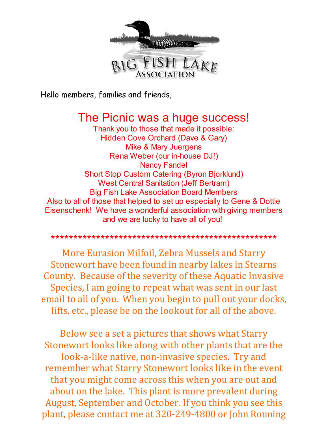

Hello members, families and friends,

# The Picnic was a huge success!

Thank you to those that made it possible: Hidden Cove Orchard (Dave & Gary) Mike & Mary Juergens Rena Weber (our in-house DJ!) Nancy Fandel Short Stop Custom Catering (Byron Bjorklund) West Central Sanitation (Jeff Bertram) Big Fish Lake Association Board Members Also to all of those that helped to set up especially to Gene & Dottie Eisenschenk! We have a wonderful association with giving members and we are lucky to have all of you!

## \*\*\*\*\*\*\*\*\*\*\*\*\*\*\*\*\*\*\*\*\*\*\*\*\*\*\*\*\*\*\*\*\*\*\*\*\*\*\*\*\*\*\*\*\*\*\*\*\*\*

More Eurasion Milfoil, Zebra Mussels and Starry Stonewort have been found in nearby lakes in Stearns County. Because of the severity of these Aquatic Invasive Species, I am going to repeat what was sent in our last email to all of you. When you begin to pull out your docks, lifts, etc., please be on the lookout for all of the above.

Below see a set a pictures that shows what Starry Stonewort looks like along with other plants that are the look-a-like native, non-invasive species. Try and remember what Starry Stonewort looks like in the event that you might come across this when you are out and about on the lake. This plant is more prevalent during August, September and October. If you think you see this plant, please contact me at 320-249-4800 or John Ronning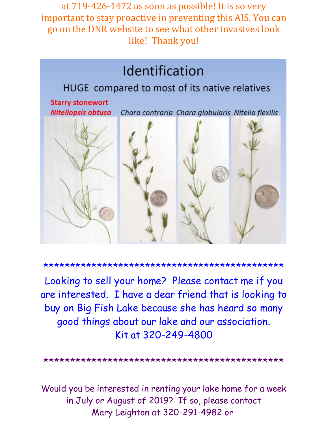at 719-426-1472 as soon as possible! It is so very important to stay proactive in preventing this AIS. You can go on the DNR website to see what other invasives look like! Thank you!



\*\*\*\*\*\*\*\*\*\*\*\*\*\*\*\*\*\*\*\*\*\*\*\*\*\*\*\*\*\*\*\*\*\*\*\*\*\*\*\*\*\*\*\*\*

Looking to sell your home? Please contact me if you are interested. I have a dear friend that is looking to buy on Big Fish Lake because she has heard so many good things about our lake and our association. Kit at 320-249-4800

\*\*\*\*\*\*\*\*\*\*\*\*\*\*\*\*\*\*\*\*\*\*\*\*\*\*\*\*\*\*\*\*\*\*\*\*\*\*\*\*\*\*\*\*\*

Would you be interested in renting your lake home for a week in July or August of 2019? If so, please contact Mary Leighton at 320-291-4982 or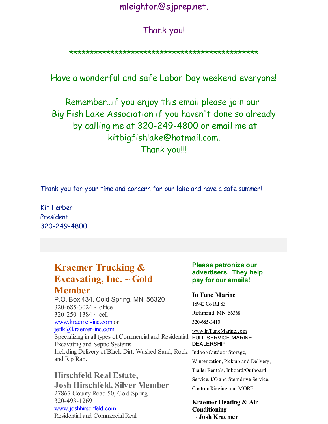## mleighton@sjprep.net.

## Thank you!

## \*\*\*\*\*\*\*\*\*\*\*\*\*\*\*\*\*\*\*\*\*\*\*\*\*\*\*\*\*\*\*\*\*\*\*\*\*\*\*\*\*\*\*\*\*\*

Have a wonderful and safe Labor Day weekend everyone!

Remember...if you enjoy this email please join our Big Fish Lake Association if you haven't done so already by calling me at 320-249-4800 or email me at kitbigfishlake@hotmail.com. Thank you!!!

Thank you for your time and concern for our lake and have a safe summer!

Kit Ferber President 320-249-4800

## **Kraemer Trucking & Excavating, Inc. ~ Gold Member**

P.O. Box 434, Cold Spring, MN 56320  $320 - 685 - 3024 \sim$  office  $320 - 250 - 1384 \sim$  cell [www.kraemer-inc.com](http://r20.rs6.net/tn.jsp?f=001MXUpJ_ViGoOoT5KAMZ4ZrFNuICRm3DZd9J_sQ313GUVqQcnOrsLaNyQ0LIGiRkvWGynTcQAkrf8kH5DZ8Fxdm4f3YKSZ815bYQ8Z3WRpZ0KT9v3Rhi9usaUCe03QXTtYphAymWzNxIw6dCgIFc-nmLCDxN4nxCT2wNopfJqom0U=&c=&ch=) or jeffk@kraemer-inc.com

Specializing in all types of Commercial and Residential FULL SERVICE MARINE Excavating and Septic Systems. Including Delivery of Black Dirt, Washed Sand, Rock Indoor/Outdoor Storage, and Rip Rap.

## **Hirschfeld Real Estate,**

**Josh Hirschfeld, Silver Member** 27867 County Road 50, Cold Spring 320-493-1269 [www.joshhirschfeld.com](http://r20.rs6.net/tn.jsp?f=001MXUpJ_ViGoOoT5KAMZ4ZrFNuICRm3DZd9J_sQ313GUVqQcnOrsLaN5qLhvwV5wQDl_vjKm5R7KVTgZ2V8wF3LLpxJomgniDCxOzhzDHOE2tcBcqM1dbiXFfiCmicBG_R986QScJmAFDmxPW9g0yQ3VLxE7wqB0OxIk2xPesdSM-9RwJNOXtSMg==&c=&ch=) Residential and Commercial Real

### **Please patronize our advertisers. They help pay for our emails!**

#### **In Tune Marine**

18942 Co Rd 83

Richmond, MN 56368

320-685-3410

[www.InTuneMarine.com](http://r20.rs6.net/tn.jsp?f=001MXUpJ_ViGoOoT5KAMZ4ZrFNuICRm3DZd9J_sQ313GUVqQcnOrsLaN5qLhvwV5wQDykYQSRb1GXg31tbUyr9Vg27PKR0Ps50VXMtpXU7pPscX32PADmoR3OxNX_I-Jvmh2paYLCNLt6lUCevitW3FWYvP5nBxTEVo9wbyvEbMKRc=&c=&ch=) DEALERSHIP

Winterization, Pick up and Delivery,

Trailer Rentals, Inboard/Outboard

Service, I/O and Sterndrive Service,

CustomRigging and MORE!

**Kraemer Heating & Air Conditioning ~ Josh Kraemer**